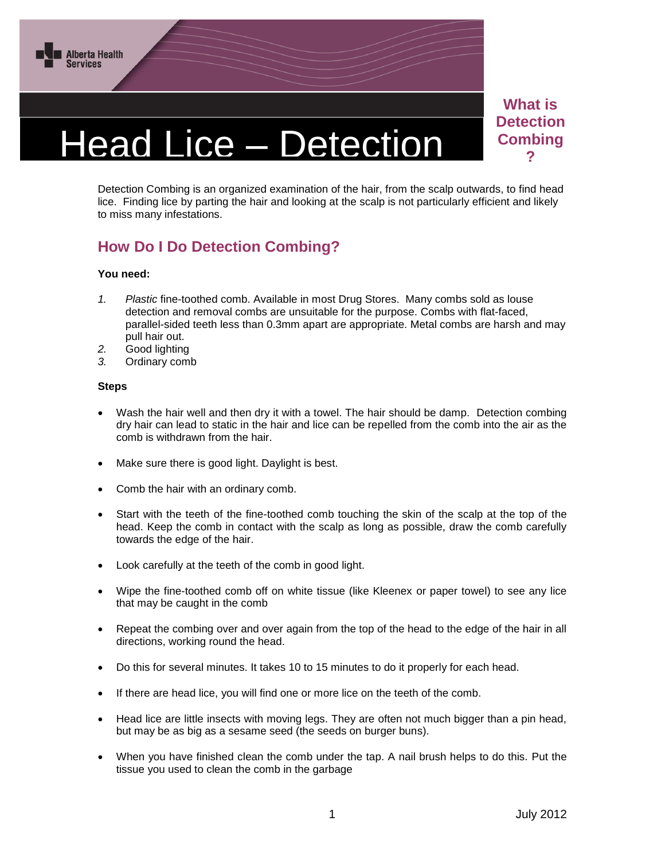

# Head Lice – Detection

**What is Detection Combing ?**

Detection Combing is an organized examination of the hair, from the scalp outwards, to find head Detection Combing is an organized examination of the hair, from the scalp outwards, to find head<br>lice. Finding lice by parting the hair and looking at the scalp is not particularly efficient and likely to miss many infestations.

## **How Do I Do Detection Combing?**

#### **You need:**

- *1. Plastic* fine-toothed comb. Available in most Drug Stores. Many combs sold as louse detection and removal combs are unsuitable for the purpose. Combs with flat-faced, parallel-sided teeth less than 0.3mm apart are appropriate. Metal combs are harsh and may pull hair out.
- *2.* Good lighting
- *3.* Ordinary comb

#### **Steps**

- Wash the hair well and then dry it with a towel. The hair should be damp. Detection combing dry hair can lead to static in the hair and lice can be repelled from the comb into the air as the comb is withdrawn from the hair.
- Make sure there is good light. Daylight is best.
- Comb the hair with an ordinary comb.
- Start with the teeth of the fine-toothed comb touching the skin of the scalp at the top of the head. Keep the comb in contact with the scalp as long as possible, draw the comb carefully towards the edge of the hair.
- Look carefully at the teeth of the comb in good light.
- Wipe the fine-toothed comb off on white tissue (like Kleenex or paper towel) to see any lice that may be caught in the comb
- Repeat the combing over and over again from the top of the head to the edge of the hair in all directions, working round the head.
- Do this for several minutes. It takes 10 to 15 minutes to do it properly for each head.
- If there are head lice, you will find one or more lice on the teeth of the comb.
- Head lice are little insects with moving legs. They are often not much bigger than a pin head, but may be as big as a sesame seed (the seeds on burger buns).
- When you have finished clean the comb under the tap. A nail brush helps to do this. Put the tissue you used to clean the comb in the garbage